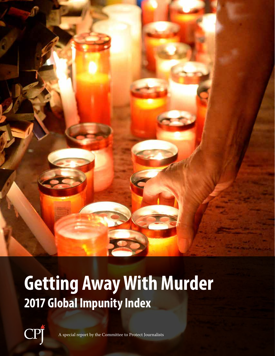

# **Getting Away With Murder 2017 Global Impunity Index**

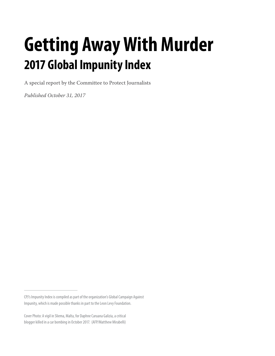# **Getting Away With Murder 2017 Global Impunity Index**

A special report by the Committee to Protect Journalists

*Published October 31, 2017*

CPJ's Impunity Index is compiled as part of the organization's Global Campaign Against Impunity, which is made possible thanks in part to the Leon Levy Foundation.

Cover Photo: A vigil in Sliema, Malta, for Daphne Caruana Galizia, a critical blogger killed in a car bombing in October 2017. (AFP/Matthew Mirabelli)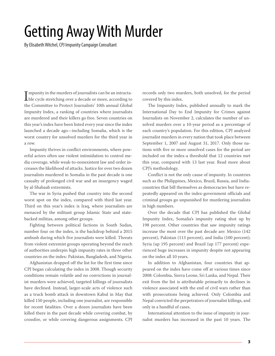### Getting Away With Murder

By Elisabeth Witchel, CPJ Impunity Campaign Consultant

I mpunity in the murders of journalists can be an intracta-<br>ble cycle stretching over a decade or more, according to<br>the Committee to Protect Journalists' 10th annual Global  $\blacksquare$  mpunity in the murders of journalists can be an intractathe Committee to Protect Journalists' 10th annual Global Impunity Index, a ranking of countries where journalists are murdered and their killers go free. Seven countries on this year's index have been listed every year since the index launched a decade ago—including Somalia, which is the worst country for unsolved murders for the third year in a row.

Impunity thrives in conflict environments, where powerful actors often use violent intimidation to control media coverage, while weak-to-nonexistent law and order increases the likelihood of attacks. Justice for over two dozen journalists murdered in Somalia in the past decade is one casualty of prolonged civil war and an insurgency waged by al-Shabaab extremists.

The war in Syria pushed that country into the second worst spot on the index, compared with third last year. Third on this year's index is Iraq, where journalists are menaced by the militant group Islamic State and statebacked militias, among other groups.

Fighting between political factions in South Sudan, number four on the index, is the backdrop behind a 2015 ambush during which five journalists were killed. Threats from violent extremist groups operating beyond the reach of authorities underpin high impunity rates in three other countries on the index: Pakistan, Bangladesh, and Nigeria.

Afghanistan dropped off the list for the first time since CPJ began calculating the index in 2008. Though security conditions remain volatile and no convictions in journalist murders were achieved, targeted killings of journalists have declined. Instead, larger-scale acts of violence such as a truck bomb attack in downtown Kabul in May that killed 150 people, including one journalist, are responsible for recent fatalities. Over a dozen journalists have been killed there in the past decade while covering combat, by crossfire, or while covering dangerous assignments. CPJ records only two murders, both unsolved, for the period covered by this index.

The Impunity Index, published annually to mark the International Day to End Impunity for Crimes against Journalists on November 2, calculates the number of unsolved murders over a 10-year period as a percentage of each country's population. For this edition, CPJ analyzed journalist murders in every nation that took place between September 1, 2007 and August 31, 2017. Only those nations with five or more unsolved cases for the period are included on the index-a threshold that 12 countries met this year, compared with 13 last year. Read more about CPJ's methodology.

Conflict is not the only cause of impunity. In countries such as the Philippines, Mexico, Brazil, Russia, and Indiacountries that bill themselves as democracies but have repeatedly appeared on the index-government officials and criminal groups go unpunished for murdering journalists in high numbers.

Over the decade that CPJ has published the Global Impunity Index, Somalia's impunity rating shot up by 198 percent. Other countries that saw impunity ratings increase the most over the past decade are: Mexico (142 percent), Pakistan (113 percent), and India (100 percent); Syria (up 195 percent) and Brazil (up 177 percent) experienced huge increases in impunity despite not appearing on the index all 10 years.

In addition to Afghanistan, four countries that appeared on the index have come off at various times since 2008: Colombia, Sierra Leone, Sri Lanka, and Nepal. Their exit from the list is attributable primarily to declines in violence associated with the end of civil wars rather than with prosecutions being achieved. Only Colombia and Nepal convicted the perpetrators of journalist killings, and only in a handful of cases.

International attention to the issue of impunity in journalist murders has increased in the past 10 years. The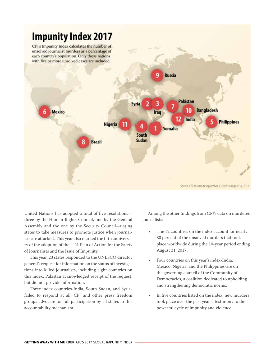

United Nations has adopted a total of five resolutions three by the Human Rights Council, one by the General Assembly and the one by the Security Council—urging states to take measures to promote justice when journalists are attacked. This year also marked the fifth anniversary of the adoption of the U.N. Plan of Action for the Safety of Journalists and the Issue of Impunity.

This year, 23 states responded to the UNESCO director general's request for information on the status of investigations into killed journalists, including eight countries on this index. Pakistan acknowledged receipt of the request, but did not provide information.

Three index countries-India, South Sudan, and Syriafailed to respond at all. CPJ and other press freedom groups advocate for full participation by all states in this accountability mechanism.

Among the other findings from CPJ's data on murdered journalists:

- The 12 countries on the index account for nearly 80 percent of the unsolved murders that took place worldwide during the 10-year period ending August 31, 2017.
- Four countries on this year's index-India, Mexico, Nigeria, and the Philippines-are on the governing council of the Community of Democracies, a coalition dedicated to upholding and strengthening democratic norms.
- In five countries listed on the index, new murders took place over the past year, a testimony to the powerful cycle of impunity and violence.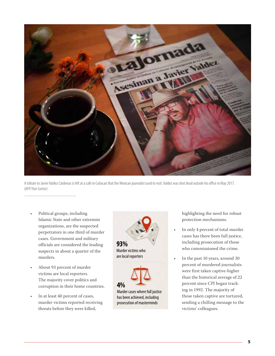

A tribute to Javier Valdez Cárdenas is left at a café in Culiacan that the Mexican journalist used to visit. Valdez was shot dead outside his office in May 2017. (AFP/Yuri Cortez)

- Political groups, including Islamic State and other extremist organizations, are the suspected perpetrators in one third of murder cases. Government and military officials are considered the leading suspects in about a quarter of the murders.
- About 93 percent of murder victims are local reporters. The majority cover politics and corruption in their home countries.
- In at least 40 percent of cases, murder victims reported receiving threats before they were killed,





Murder cases where full justice has been achieved, including prosecution of masterminds

highlighting the need for robust protection mechanisms.

- In only 4 percent of total murder cases has there been full justice, including prosecution of those who commissioned the crime.
- In the past 10 years, around 30 percent of murdered journalists were first taken captive-higher than the historical average of 22 percent since CPJ began tracking in 1992. The majority of those taken captive are tortured, sending a chilling message to the victims' colleagues.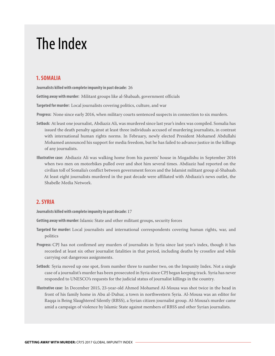### The Index

#### **1. SOMALIA**

**Journalists killed with complete impunity in past decade:** 26

**Getting away with murder:** Militant groups like al-Shabaab, government officials

**Targeted for murder:** Local journalists covering politics, culture, and war

**Progress:**  None since early 2016, when military courts sentenced suspects in connection to six murders.

- **Setback:** At least one journalist, Abdiaziz Ali, was murdered since last year's index was compiled. Somalia has issued the death penalty against at least three individuals accused of murdering journalists, in contrast with international human rights norms. In February, newly elected President Mohamed Abdullahi Mohamed announced his support for media freedom, but he has failed to advance justice in the killings of any journalists.
- **Illustrative case:** Abdiaziz Ali was walking home from his parents' house in Mogadishu in September 2016 when two men on motorbikes pulled over and shot him several times. Abdiaziz had reported on the civilian toll of Somalia's conflict between government forces and the Islamist militant group al-Shabaab. At least eight journalists murdered in the past decade were affiliated with Abdiaziz's news outlet, the Shabelle Media Network.

#### **2. SYRIA**

**Journalists killed with complete impunity in past decade:** 17

**Getting away with murder:** Islamic State and other militant groups, security forces

- **Targeted for murder:** Local journalists and international correspondents covering human rights, war, and politics
- **Progress:** CPJ has not confirmed any murders of journalists in Syria since last year's index, though it has recorded at least six other journalist fatalities in that period, including deaths by crossfire and while carrying out dangerous assignments.
- **Setback:** Syria moved up one spot, from number three to number two, on the Impunity Index. Not a single case of a journalist's murder has been prosecuted in Syria since CPJ began keeping track. Syria has never responded to UNESCO's requests for the judicial status of journalist killings in the country.
- **Illustrative case:** In December 2015, 23-year-old Ahmed Mohamed Al-Mousa was shot twice in the head in front of his family home in Abu al-Duhur, a town in northwestern Syria. Al-Mousa was an editor for Raqqa is Being Slaughtered Silently (RBSS), a Syrian citizen journalist group. Al-Mousa's murder came amid a campaign of violence by Islamic State against members of RBSS and other Syrian journalists.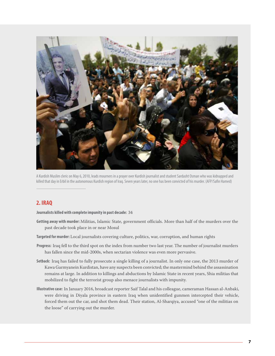

A Kurdish Muslim cleric on May 6, 2010, leads mourners in a prayer over Kurdish journalist and student Sardasht Osman who was kidnapped and killed that day in Erbil in the autonomous Kurdish region of Iraq. Seven years later, no one has been convicted of his murder. (AFP/Safin Hamed)

#### **2. IRAQ**

**Journalists killed with complete impunity in past decade:** 34

- **Getting away with murder:** Militias, Islamic State, government officials. More than half of the murders over the past decade took place in or near Mosul
- **Targeted for murder:** Local journalists covering culture, politics, war, corruption, and human rights
- **Progress:** Iraq fell to the third spot on the index from number two last year. The number of journalist murders has fallen since the mid-2000s, when sectarian violence was even more pervasive.
- **Setback:** Iraq has failed to fully prosecute a single killing of a journalist. In only one case, the 2013 murder of Kawa Garmyanein Kurdistan, have any suspects been convicted; the mastermind behind the assassination remains at large. In addition to killings and abductions by Islamic State in recent years, Shia militias that mobilized to fight the terrorist group also menace journalists with impunity.
- **Illustrative case:** In January 2016, broadcast reporter Saif Talal and his colleague, cameraman Hassan al-Anbaki, were driving in Diyala province in eastern Iraq when unidentified gunmen intercepted their vehicle, forced them out the car, and shot them dead. Their station, Al-Sharqiya, accused "one of the militias on the loose" of carrying out the murder.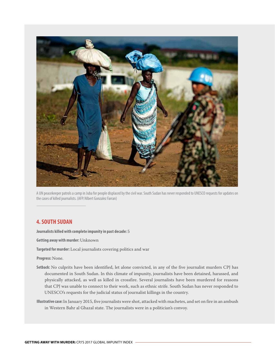

A UN peacekeeper patrols a camp in Juba for people displaced by the civil war. South Sudan has never responded to UNESCO requests for updates on the cases of killed journalists. (AFP/Albert Gonzalez Farran)

#### **4. SOUTH SUDAN**

**Journalists killed with complete impunity in past decade:** 5

**Getting away with murder:** Unknown

**Targeted for murder:** Local journalists covering politics and war

**Progress:** None.

- **Setback:** No culprits have been identified, let alone convicted, in any of the five journalist murders CPJ has documented in South Sudan. In this climate of impunity, journalists have been detained, harassed, and physically attacked, as well as killed in crossfire. Several journalists have been murdered for reasons that CPJ was unable to connect to their work, such as ethnic strife. South Sudan has never responded to UNESCO's requests for the judicial status of journalist killings in the country.
- **Illustrative case:** In January 2015, five journalists were shot, attacked with machetes, and set on fire in an ambush in Western Bahr al Ghazal state. The journalists were in a politician's convoy.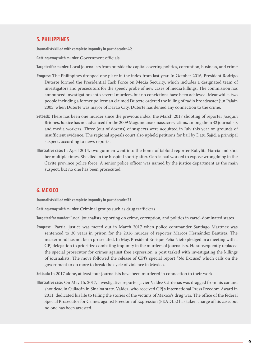#### **5. PHILIPPINES**

**Journalists killed with complete impunity in past decade:** 42

**Getting away with murder:** Government officials

**Targeted for murder:** Local journalists from outside the capital covering politics, corruption, business, and crime

- **Progress:** The Philippines dropped one place in the index from last year. In October 2016, President Rodrigo Duterte formed the Presidential Task Force on Media Security, which includes a designated team of investigators and prosecutors for the speedy probe of new cases of media killings. The commission has announced investigations into several murders, but no convictions have been achieved. Meanwhile, two people including a former policeman claimed Duterte ordered the killing of radio broadcaster Jun Palain 2003, when Duterte was mayor of Davao City. Duterte has denied any connection to the crime.
- **Setback:** There has been one murder since the previous index, the March 2017 shooting of reporter Joaquin Briones. Justice has not advanced for the 2009 Maguindanao massacre victims, among them 32 journalists and media workers. Three (out of dozens) of suspects were acquitted in July this year on grounds of insufficient evidence. The regional appeals court also upheld petitions for bail by Datu Sajid, a principal suspect, according to news reports.
- **Illustrative case:** In April 2014, two gunmen went into the home of tabloid reporter Rubylita Garcia and shot her multiple times. She died in the hospital shortly after. Garcia had worked to expose wrongdoing in the Cavite province police force. A senior police officer was named by the justice department as the main suspect, but no one has been prosecuted.

#### **6. MEXICO**

**Journalists killed with complete impunity in past decade: 21**

**Getting away with murder:** Criminal groups such as drug traffickers

**Targeted for murder:** Local journalists reporting on crime, corruption, and politics in cartel-dominated states

**Progress:**  Partial justice was meted out in March 2017 when police commander Santiago Martínez was sentenced to 30 years in prison for the 2016 murder of reporter Marcos Hernández Bautista. The mastermind has not been prosecuted. In May, President Enrique Peña Nieto pledged in a meeting with a CPJ delegation to prioritize combating impunity in the murders of journalists. He subsequently replaced the special prosecutor for crimes against free expression, a post tasked with investigating the killings of journalists. The move followed the release of CPJ's special report "No Excuse," which calls on the government to do more to break the cycle of violence in Mexico.

**Setback:** In 2017 alone, at least four journalists have been murdered in connection to their work

**Illustrative case:** On May 15, 2017, investigative reporter Javier Valdez Cárdenas was dragged from his car and shot dead in Culiacán in Sinaloa state. Valdez, who received CPJ's International Press Freedom Award in 2011, dedicated his life to telling the stories of the victims of Mexico's drug war. The office of the federal Special Prosecutor for Crimes against Freedom of Expression (FEADLE) has taken charge of his case, but no one has been arrested.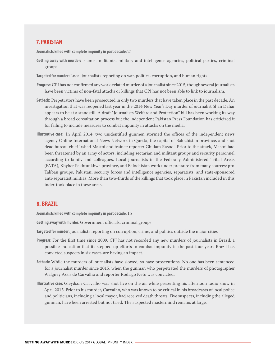#### **7. PAKISTAN**

**Journalists killed with complete impunity in past decade:** 21

- **Getting away with murder:** Islamist militants, military and intelligence agencies, political parties, criminal groups
- **Targeted for murder:** Local journalists reporting on war, politics, corruption, and human rights
- **Progress:** CPJ has not confirmed any work-related murder of a journalist since 2015, though several journalists have been victims of non-fatal attacks or killings that CPJ has not been able to link to journalism.
- **Setback:** Perpetrators have been prosecuted in only two murders that have taken place in the past decade. An investigation that was reopened last year in the 2014 New Year's Day murder of journalist Shan Dahar appears to be at a standstill. A draft "Journalists Welfare and Protection" bill has been working its way through a broad consultation process but the independent Pakistan Press Foundation has criticized it for failing to include measures to combat impunity in attacks on the media.
- **Illustrative case:** In April 2014, two unidentified gunmen stormed the offices of the independent news agency Online International News Network in Quetta, the capital of Balochistan province, and shot dead bureau chief Irshad Mastoi and trainee reporter Ghulam Rasool. Prior to the attack, Mastoi had been threatened by an array of actors, including sectarian and militant groups and security personnel, according to family and colleagues. Local journalists in the Federally Administered Tribal Areas (FATA), Khyber Pakhtunkhwa province, and Balochistan work under pressure from many sources: pro-Taliban groups, Pakistani security forces and intelligence agencies, separatists, and state-sponsored anti-separatist militias. More than two-thirds of the killings that took place in Pakistan included in this index took place in these areas.

#### **8. BRAZIL**

**Journalists killed with complete impunity in past decade:** 15

**Getting away with murder:** Government officials, criminal groups

**Targeted for murder:** Journalists reporting on corruption, crime, and politics outside the major cities

- **Progress:** For the first time since 2009, CPJ has not recorded any new murders of journalists in Brazil, a possible indication that its stepped-up efforts to combat impunity-in the past four years Brazil has convicted suspects in six cases-are having an impact.
- **Setback:** While the murders of journalists have slowed, so have prosecutions. No one has been sentenced for a journalist murder since 2015, when the gunman who perpetrated the murders of photographer Walgney Assis de Carvalho and reporter Rodrigo Neto was convicted.
- **Illustrative case:** Gleydson Carvalho was shot live on the air while presenting his afternoon radio show in April 2015. Prior to his murder, Carvalho, who was known to be critical in his broadcasts of local police and politicians, including a local mayor, had received death threats. Five suspects, including the alleged gunman, have been arrested but not tried. The suspected mastermind remains at large.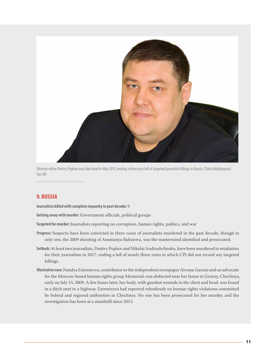

Siberian editor Dmitry Popkov was shot dead in May 2017, ending a three year lull of targeted journalist killings in Russia. (Yulia Mullabayeva/ Ton-M)

#### **9. RUSSIA**

**Journalists killed with complete impunity in past decade:** 9

**Getting away with murder:** Government officials, political groups

**Targeted for murder:** Journalists reporting on corruption, human rights, politics, and war

- **Progress:** Suspects have been convicted in three cases of journalists murdered in the past decade, though in only one, the 2009 shooting of Anastasiya Baburova, was the mastermind identified and prosecuted.
- **Setback:** At least two journalists, Dmitry Popkov and Nikolai Andrushchenko, have been murdered in retaliation for their journalism in 2017, ending a lull of nearly three years in which CPJ did not record any targeted killings.
- **Illustrative case:** Natalya Estemirova, contributor to the independent newspaper *Novaya Gazeta* and an advocate for the Moscow-based human rights group Memorial, was abducted near her home in Grozny, Chechnya, early on July 15, 2009. A few hours later, her body, with gunshot wounds in the chest and head, was found in a ditch next to a highway. Estemirova had reported relentlessly on human rights violations committed by federal and regional authorities in Chechnya. No one has been prosecuted for her murder, and the investigation has been at a standstill since 2013.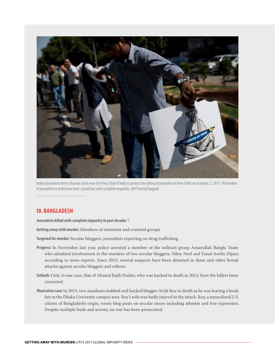

Indian journalists form a human chain near the Press Club of India to protest the killing of journalists in New Delhi on Octobter. 2, 2017. All murders of journalists in India have been carried out with complete impunity. (AP/Tsering Topgyal)

#### **10. BANGLADESH**

**Journalists killed with complete impunity in past decade:** 7

**Getting away with murder:** Members of extremist and criminal groups

**Targeted for murder:** Secular bloggers, journalists reporting on drug trafficking

- **Progress:** In November last year, police arrested a member of the militant group Ansarullah Bangla Team who admitted involvement in the murders of two secular bloggers, Niloy Neel and Faisal Arefin Dipan, according to news reports. Since 2015, several suspects have been detained in these and other brutal attacks against secular bloggers and editors.
- **Setback:** Only in one case, that of Ahmed Rajib Haider, who was hacked to death in 2013, have the killers been convicted.
- **Illustrative case:** In 2015, two assailants stabbed and hacked blogger Avijit Roy to death as he was leaving a book fair in the Dhaka University campus area. Roy's wife was badly injured in the attack. Roy, a naturalized U.S. citizen of Bangladeshi origin, wrote blog posts on secular issues including atheism and free expression. Despite multiple leads and arrests, no one has been prosecuted.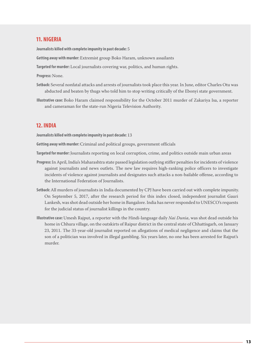#### **11. NIGERIA**

**Journalists killed with complete impunity in past decade:** 5

**Getting away with murder:** Extremist group Boko Haram, unknown assailants

**Targeted for murder:** Local journalists covering war, politics, and human rights.

- **Progress:** None.
- **Setback:** Several nonfatal attacks and arrests of journalists took place this year. In June, editor Charles Otu was abducted and beaten by thugs who told him to stop writing critically of the Ebonyi state government.
- **Illustrative case:** Boko Haram claimed responsibility for the October 2011 murder of Zakariya Isa, a reporter and cameraman for the state-run Nigeria Television Authority.

#### **12. INDIA**

**Journalists killed with complete impunity in past decade:** 13

**Getting away with murder:** Criminal and political groups, government officials

**Targeted for murder:** Journalists reporting on local corruption, crime, and politics outside main urban areas

- **Progress:** In April, India's Maharashtra state passed legislation outlying stiffer penalties for incidents of violence against journalists and news outlets. The new law requires high-ranking police officers to investigate incidents of violence against journalists and designates such attacks a non-bailable offense, according to the International Federation of Journalists.
- **Setback:** All murders of journalists in India documented by CPJ have been carried out with complete impunity. On September 5, 2017, after the research period for this index closed, independent journalist Gauri Lankesh, was shot dead outside her home in Bangalore. India has never responded to UNESCO's requests for the judicial status of journalist killings in the country.
- **Illustrative case:** Umesh Rajput, a reporter with the Hindi-language daily *Nai Dunia*, was shot dead outside his home in Chhura village, on the outskirts of Raipur district in the central state of Chhattisgarh, on January 23, 2011. The 33-year-old journalist reported on allegations of medical negligence and claims that the son of a politician was involved in illegal gambling. Six years later, no one has been arrested for Rajput's murder.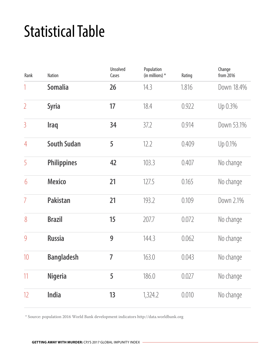## Statistical Table

| Rank           | <b>Nation</b>      | <b>Unsolved</b><br>Cases | Population<br>(in millions) $*$ | Rating | Change<br>from 2016 |
|----------------|--------------------|--------------------------|---------------------------------|--------|---------------------|
| 1              | <b>Somalia</b>     | 26                       | 14.3                            | 1.816  | Down 18.4%          |
| $\overline{2}$ | <b>Syria</b>       | 17                       | 18.4                            | 0.922  | Up 0.3%             |
| $\overline{3}$ | <b>Iraq</b>        | 34                       | 37.2                            | 0.914  | Down 53.1%          |
| $\overline{4}$ | <b>South Sudan</b> | 5                        | 12.2                            | 0.409  | Up 0.1%             |
| 5              | <b>Philippines</b> | 42                       | 103.3                           | 0.407  | No change           |
| 6              | <b>Mexico</b>      | 21                       | 127.5                           | 0.165  | No change           |
| $\overline{7}$ | <b>Pakistan</b>    | 21                       | 193.2                           | 0.109  | Down 2.1%           |
| 8              | <b>Brazil</b>      | 15                       | 207.7                           | 0.072  | No change           |
| 9              | <b>Russia</b>      | 9                        | 144.3                           | 0.062  | No change           |
| 10             | <b>Bangladesh</b>  | $\overline{7}$           | 163.0                           | 0.043  | No change           |
| 11             | <b>Nigeria</b>     | 5                        | 186.0                           | 0.027  | No change           |
| 12             | India              | 13                       | 1,324.2                         | 0.010  | No change           |

\* Source: population 2016 World Bank development indicators http://data.worldbank.org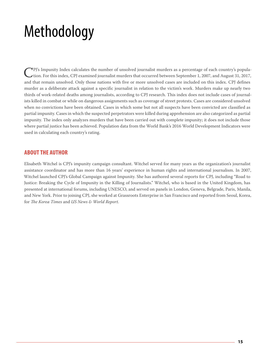## Methodology

CPJ's Impunity Index calculates the number of unsolved journalist murders as a percentage of each country's population. For this index, CPJ examined journalist murders that occurred between September 1, 2007, and August 31 and that remain unsolved. Only those nations with five or more unsolved cases are included on this index. CPJ defines murder as a deliberate attack against a specific journalist in relation to the victim's work. Murders make up nearly two thirds of work-related deaths among journalists, according to CPJ research. This index does not include cases of journalists killed in combat or while on dangerous assignments such as coverage of street protests. Cases are considered unsolved when no convictions have been obtained. Cases in which some but not all suspects have been convicted are classified as partial impunity. Cases in which the suspected perpetrators were killed during apprehension are also categorized as partial impunity. The index only analyzes murders that have been carried out with complete impunity; it does not include those where partial justice has been achieved. Population data from the World Bank's 2016 World Development Indicators were used in calculating each country's rating.

#### **ABOUT THE AUTHOR**

Elisabeth Witchel is CPJ's impunity campaign consultant. Witchel served for many years as the organization's journalist assistance coordinator and has more than 16 years' experience in human rights and international journalism. In 2007, Witchel launched CPJ's Global Campaign against Impunity. She has authored several reports for CPJ, including "Road to Justice: Breaking the Cycle of Impunity in the Killing of Journalists." Witchel, who is based in the United Kingdom, has presented at international forums, including UNESCO, and served on panels in London, Geneva, Belgrade, Paris, Manila, and New York. Prior to joining CPJ, she worked at Grassroots Enterprise in San Francisco and reported from Seoul, Korea, for *The Korea Times* and *US News & World Report*.